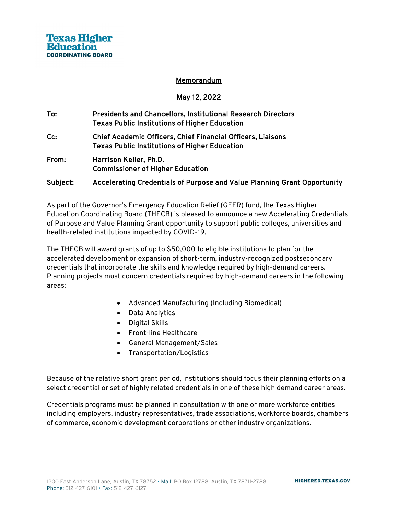#### Memorandum

### May 12, 2022

- To: Presidents and Chancellors, Institutional Research Directors Texas Public Institutions of Higher Education
- Cc: Chief Academic Officers, Chief Financial Officers, Liaisons Texas Public Institutions of Higher Education
- From: Harrison Keller, Ph.D. Commissioner of Higher Education

### Subject: Accelerating Credentials of Purpose and Value Planning Grant Opportunity

As part of the Governor's Emergency Education Relief (GEER) fund, the Texas Higher Education Coordinating Board (THECB) is pleased to announce a new Accelerating Credentials of Purpose and Value Planning Grant opportunity to support public colleges, universities and health-related institutions impacted by COVID-19.

The THECB will award grants of up to \$50,000 to eligible institutions to plan for the accelerated development or expansion of short-term, industry-recognized postsecondary credentials that incorporate the skills and knowledge required by high-demand careers. Planning projects must concern credentials required by high-demand careers in the following areas:

- Advanced Manufacturing (Including Biomedical)
- Data Analytics
- Digital Skills
- Front-line Healthcare
- General Management/Sales
- Transportation/Logistics

Because of the relative short grant period, institutions should focus their planning efforts on a select credential or set of highly related credentials in one of these high demand career areas.

Credentials programs must be planned in consultation with one or more workforce entities including employers, industry representatives, trade associations, workforce boards, chambers of commerce, economic development corporations or other industry organizations.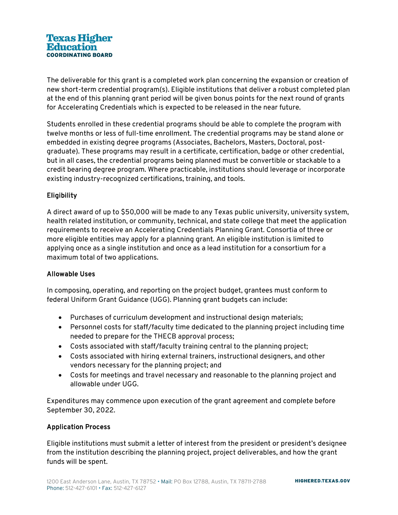The deliverable for this grant is a completed work plan concerning the expansion or creation of new short-term credential program(s). Eligible institutions that deliver a robust completed plan at the end of this planning grant period will be given bonus points for the next round of grants for Accelerating Credentials which is expected to be released in the near future.

Students enrolled in these credential programs should be able to complete the program with twelve months or less of full-time enrollment. The credential programs may be stand alone or embedded in existing degree programs (Associates, Bachelors, Masters, Doctoral, postgraduate). These programs may result in a certificate, certification, badge or other credential, but in all cases, the credential programs being planned must be convertible or stackable to a credit bearing degree program. Where practicable, institutions should leverage or incorporate existing industry-recognized certifications, training, and tools.

# **Eligibility**

A direct award of up to \$50,000 will be made to any Texas public university, university system, health related institution, or community, technical, and state college that meet the application requirements to receive an Accelerating Credentials Planning Grant. Consortia of three or more eligible entities may apply for a planning grant. An eligible institution is limited to applying once as a single institution and once as a lead institution for a consortium for a maximum total of two applications.

# Allowable Uses

In composing, operating, and reporting on the project budget, grantees must conform to federal Uniform Grant Guidance (UGG). Planning grant budgets can include:

- Purchases of curriculum development and instructional design materials;
- Personnel costs for staff/faculty time dedicated to the planning project including time needed to prepare for the THECB approval process;
- Costs associated with staff/faculty training central to the planning project;
- Costs associated with hiring external trainers, instructional designers, and other vendors necessary for the planning project; and
- Costs for meetings and travel necessary and reasonable to the planning project and allowable under UGG.

Expenditures may commence upon execution of the grant agreement and complete before September 30, 2022.

### Application Process

Eligible institutions must submit a letter of interest from the president or president's designee from the institution describing the planning project, project deliverables, and how the grant funds will be spent.